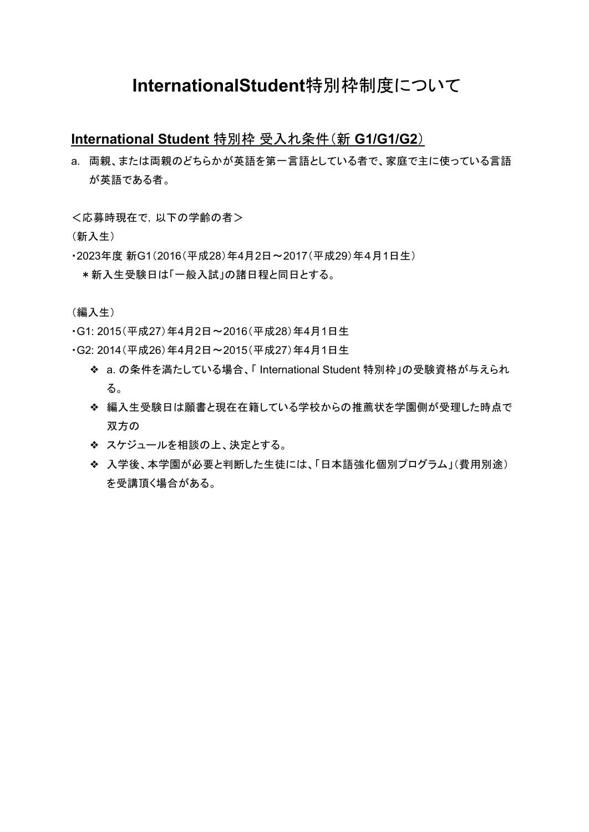# **InternationalStudent**特別枠制度について

## **International Student** 特別枠 受入れ条件(新 **G1/G1/G2**)

a. 両親、または両親のどちらかが英語を第一言語としている者で、家庭で主に使っている言語 が英語である者。

<応募時現在で,以下の学齢の者>

(新入生)

- ・2023年度 新G1(2016(平成28)年4月2日〜2017(平成29)年4月1日生)
	- \*新入生受験日は「一般入試」の諸日程と同日とする。

(編入生)

- ・G1: 2015(平成27)年4月2日〜2016(平成28)年4月1日生
- ・G2: 2014(平成26)年4月2日〜2015(平成27)年4月1日生
	- ❖ a. の条件を満たしている場合、「 International Student 特別枠」の受験資格が与えられ る。
	- ❖ 編入生受験日は願書と現在在籍している学校からの推薦状を学園側が受理した時点で 双方の
	- ❖ スケジュールを相談の上、決定とする。
	- ❖ 入学後、本学園が必要と判断した生徒には、「日本語強化個別プログラム」(費用別途) を受講頂く場合がある。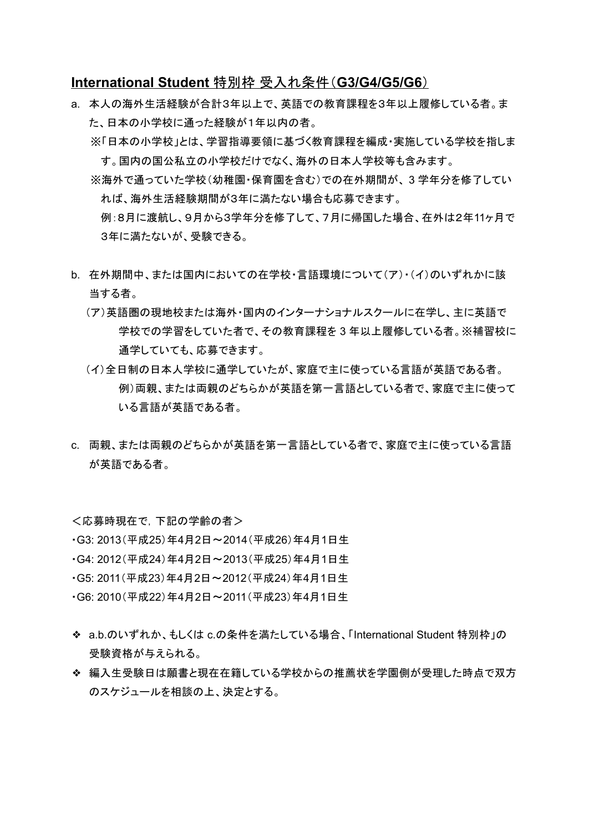## **International Student** 特別枠 受入れ条件(**G3/G4/G5/G6**)

- a. 本人の海外生活経験が合計3年以上で、英語での教育課程を3年以上履修している者。ま た、日本の小学校に通った経験が1年以内の者。
	- ※「日本の小学校」とは、学習指導要領に基づく教育課程を編成・実施している学校を指しま す。国内の国公私立の小学校だけでなく、海外の日本人学校等も含みます。
	- ※海外で通っていた学校(幼稚園・保育園を含む)での在外期間が、 3 学年分を修了してい れば、海外生活経験期間が3年に満たない場合も応募できます。

例:8月に渡航し、9月から3学年分を修了して、7月に帰国した場合、在外は2年11ヶ月で 3年に満たないが、受験できる。

- b. 在外期間中、または国内においての在学校・言語環境について(ア)・(イ)のいずれかに該 当する者。
	- (ア)英語圏の現地校または海外・国内のインターナショナルスクールに在学し、主に英語で 学校での学習をしていた者で、その教育課程を 3 年以上履修している者。※補習校に 通学していても、応募できます。
	- (イ)全日制の日本人学校に通学していたが、家庭で主に使っている言語が英語である者。 例)両親、または両親のどちらかが英語を第一言語としている者で、家庭で主に使って いる言語が英語である者。
- c. 両親、または両親のどちらかが英語を第一言語としている者で、家庭で主に使っている言語 が英語である者。

<応募時現在で,下記の学齢の者>

- ・G3: 2013(平成25)年4月2日~2014(平成26)年4月1日生
- ・G4: 2012(平成24)年4月2日~2013(平成25)年4月1日生
- ・G5: 2011(平成23)年4月2日~2012(平成24)年4月1日生
- ・G6: 2010(平成22)年4月2日~2011(平成23)年4月1日生
- ❖ a.b.のいずれか、もしくは c.の条件を満たしている場合、「International Student 特別枠」の 受験資格が与えられる。
- ❖ 編入生受験日は願書と現在在籍している学校からの推薦状を学園側が受理した時点で双方 のスケジュールを相談の上、決定とする。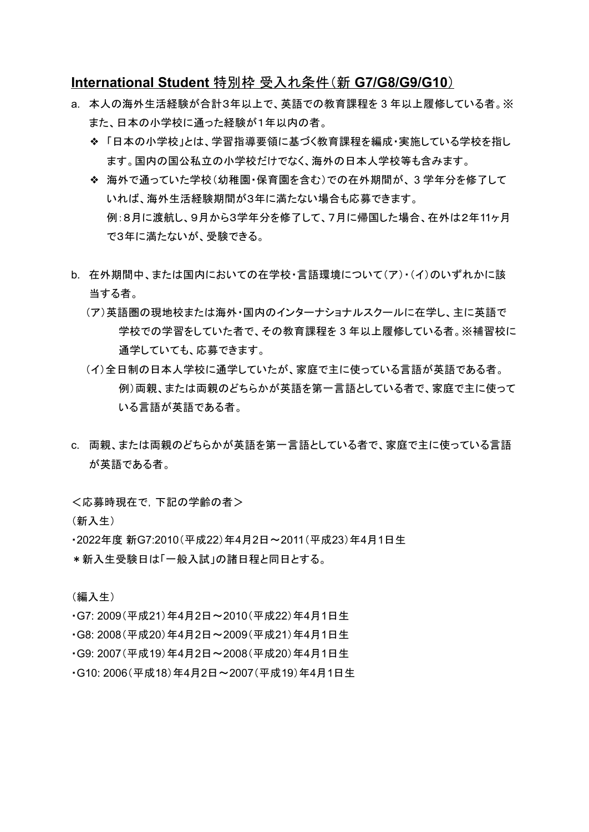## **International Student** 特別枠 受入れ条件(新 **G7/G8/G9/G10**)

- a. 本人の海外生活経験が合計3年以上で、英語での教育課程を 3 年以上履修している者。※ また、日本の小学校に通った経験が1年以内の者。
	- ❖ 「日本の小学校」とは、学習指導要領に基づく教育課程を編成・実施している学校を指し ます。国内の国公私立の小学校だけでなく、海外の日本人学校等も含みます。
	- ❖ 海外で通っていた学校(幼稚園・保育園を含む)での在外期間が、 3 学年分を修了して いれば、海外生活経験期間が3年に満たない場合も応募できます。 例:8月に渡航し、9月から3学年分を修了して、7月に帰国した場合、在外は2年11ヶ月 で3年に満たないが、受験できる。
- b. 在外期間中、または国内においての在学校・言語環境について(ア)・(イ)のいずれかに該 当する者。
	- (ア)英語圏の現地校または海外・国内のインターナショナルスクールに在学し、主に英語で 学校での学習をしていた者で、その教育課程を 3 年以上履修している者。※補習校に 通学していても、応募できます。
	- (イ)全日制の日本人学校に通学していたが、家庭で主に使っている言語が英語である者。 例)両親、または両親のどちらかが英語を第一言語としている者で、家庭で主に使って いる言語が英語である者。
- c. 両親、または両親のどちらかが英語を第一言語としている者で、家庭で主に使っている言語 が英語である者。

<応募時現在で,下記の学齢の者>

(新入生)

・2022年度 新G7:2010(平成22)年4月2日~2011(平成23)年4月1日生

\*新入生受験日は「一般入試」の諸日程と同日とする。

(編入生)

- ・G7: 2009(平成21)年4月2日~2010(平成22)年4月1日生
- ・G8: 2008(平成20)年4月2日~2009(平成21)年4月1日生
- ・G9: 2007(平成19)年4月2日~2008(平成20)年4月1日生
- ・G10: 2006(平成18)年4月2日~2007(平成19)年4月1日生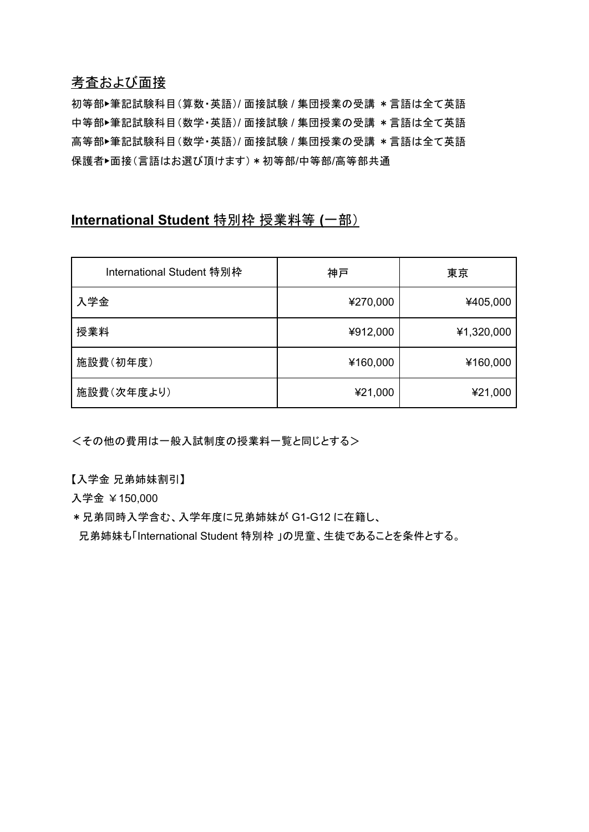# 考査および面接

初等部▶筆記試験科目(算数・英語)/ 面接試験 / 集団授業の受講 \*言語は全て英語 中等部▶筆記試験科目(数学・英語)/ 面接試験 / 集団授業の受講 \*言語は全て英語 高等部▶筆記試験科目(数学・英語)/ 面接試験 / 集団授業の受講 \*言語は全て英語 保護者▶面接(言語はお選び頂けます) \* 初等部/中等部/高等部共通

# **International Student** 特別枠 授業料等 **(**一部)

| International Student 特別枠 | 神戸       | 東京         |
|---------------------------|----------|------------|
| 入学金                       | ¥270,000 | ¥405,000   |
| 授業料                       | ¥912,000 | ¥1,320,000 |
| 施設費(初年度)                  | ¥160,000 | ¥160,000   |
| 施設費(次年度より)                | ¥21,000  | ¥21,000    |

<その他の費用は一般入試制度の授業料一覧と同じとする>

【入学金 兄弟姉妹割引】

入学金 ¥150,000

\*兄弟同時入学含む、入学年度に兄弟姉妹が G1-G12 に在籍し、

兄弟姉妹も「International Student 特別枠 」の児童、生徒であることを条件とする。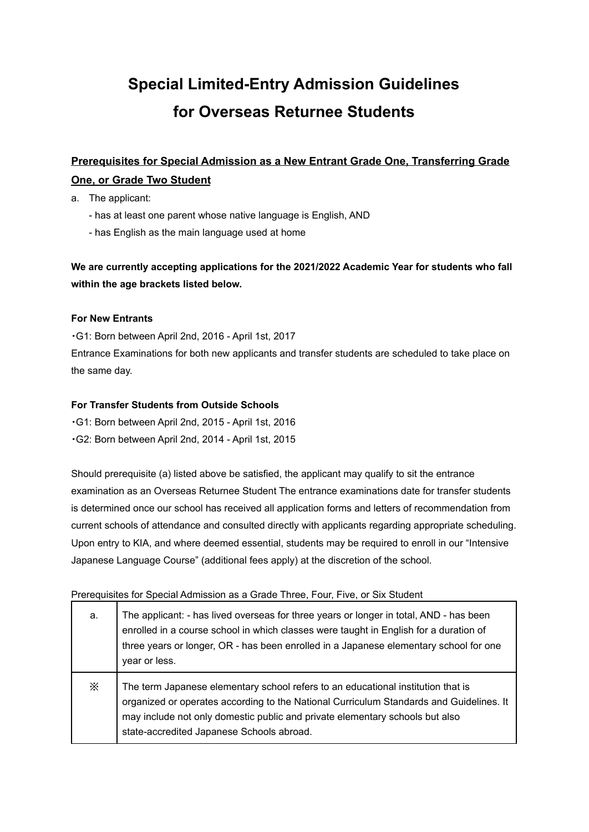# **Special Limited-Entry Admission Guidelines for Overseas Returnee Students**

# **Prerequisites for Special Admission as a New Entrant Grade One, Transferring Grade One, or Grade Two Student**

- a. The applicant:
	- has at least one parent whose native language is English, AND
	- has English as the main language used at home

**We are currently accepting applications for the 2021/2022 Academic Year for students who fall within the age brackets listed below.**

#### **For New Entrants**

・G1: Born between April 2nd, 2016 - April 1st, 2017 Entrance Examinations for both new applicants and transfer students are scheduled to take place on

the same day.

#### **For Transfer Students from Outside Schools**

・G1: Born between April 2nd, 2015 - April 1st, 2016

・G2: Born between April 2nd, 2014 - April 1st, 2015

Should prerequisite (a) listed above be satisfied, the applicant may qualify to sit the entrance examination as an Overseas Returnee Student The entrance examinations date for transfer students is determined once our school has received all application forms and letters of recommendation from current schools of attendance and consulted directly with applicants regarding appropriate scheduling. Upon entry to KIA, and where deemed essential, students may be required to enroll in our "Intensive Japanese Language Course" (additional fees apply) at the discretion of the school.

#### Prerequisites for Special Admission as a Grade Three, Four, Five, or Six Student

| a.       | The applicant: - has lived overseas for three years or longer in total, AND - has been<br>enrolled in a course school in which classes were taught in English for a duration of<br>three years or longer, OR - has been enrolled in a Japanese elementary school for one<br>year or less.                |
|----------|----------------------------------------------------------------------------------------------------------------------------------------------------------------------------------------------------------------------------------------------------------------------------------------------------------|
| $\times$ | The term Japanese elementary school refers to an educational institution that is<br>organized or operates according to the National Curriculum Standards and Guidelines. It<br>may include not only domestic public and private elementary schools but also<br>state-accredited Japanese Schools abroad. |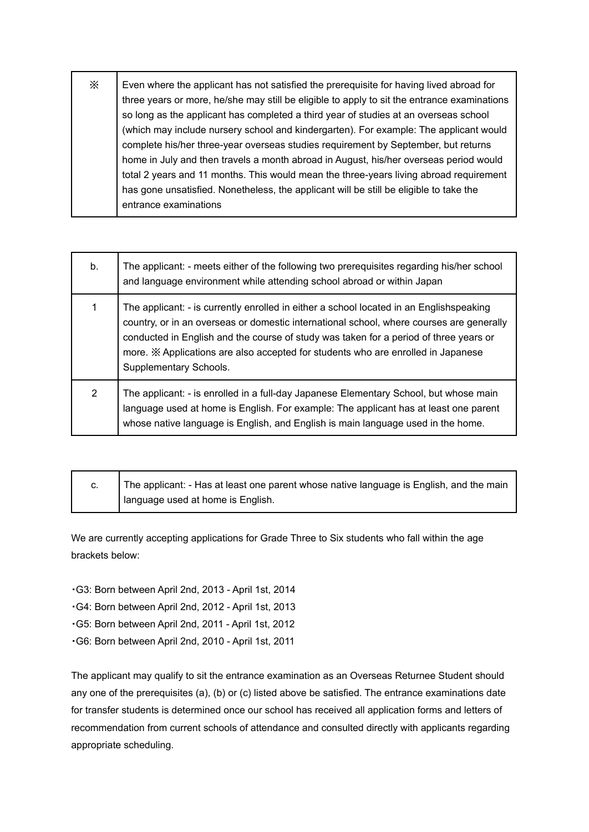$\mathcal{X}$  | Even where the applicant has not satisfied the prerequisite for having lived abroad for three years or more, he/she may still be eligible to apply to sit the entrance examinations so long as the applicant has completed a third year of studies at an overseas school (which may include nursery school and kindergarten). For example: The applicant would complete his/her three-year overseas studies requirement by September, but returns home in July and then travels a month abroad in August, his/her overseas period would total 2 years and 11 months. This would mean the three-years living abroad requirement has gone unsatisfied. Nonetheless, the applicant will be still be eligible to take the entrance examinations

| b. | The applicant: - meets either of the following two prerequisites regarding his/her school<br>and language environment while attending school abroad or within Japan                                                                                                                                                                                                                        |
|----|--------------------------------------------------------------------------------------------------------------------------------------------------------------------------------------------------------------------------------------------------------------------------------------------------------------------------------------------------------------------------------------------|
|    | The applicant: - is currently enrolled in either a school located in an Englishspeaking<br>country, or in an overseas or domestic international school, where courses are generally<br>conducted in English and the course of study was taken for a period of three years or<br>more. * Applications are also accepted for students who are enrolled in Japanese<br>Supplementary Schools. |
| 2  | The applicant: - is enrolled in a full-day Japanese Elementary School, but whose main<br>language used at home is English. For example: The applicant has at least one parent<br>whose native language is English, and English is main language used in the home.                                                                                                                          |

| The applicant: - Has at least one parent whose native language is English, and the main |
|-----------------------------------------------------------------------------------------|
| language used at home is English.                                                       |

We are currently accepting applications for Grade Three to Six students who fall within the age brackets below:

・G3: Born between April 2nd, 2013 - April 1st, 2014

・G4: Born between April 2nd, 2012 - April 1st, 2013

・G5: Born between April 2nd, 2011 - April 1st, 2012

・G6: Born between April 2nd, 2010 - April 1st, 2011

The applicant may qualify to sit the entrance examination as an Overseas Returnee Student should any one of the prerequisites (a), (b) or (c) listed above be satisfied. The entrance examinations date for transfer students is determined once our school has received all application forms and letters of recommendation from current schools of attendance and consulted directly with applicants regarding appropriate scheduling.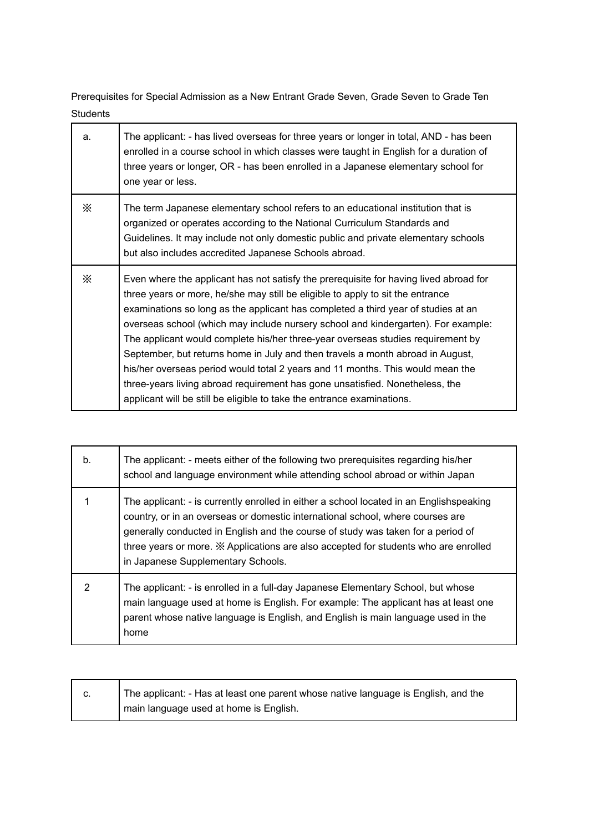Prerequisites for Special Admission as a New Entrant Grade Seven, Grade Seven to Grade Ten **Students** 

| a.       | The applicant: - has lived overseas for three years or longer in total, AND - has been<br>enrolled in a course school in which classes were taught in English for a duration of<br>three years or longer, OR - has been enrolled in a Japanese elementary school for<br>one year or less.                                                                                                                                                                                                                                                                                                                                                                                                                                                                          |
|----------|--------------------------------------------------------------------------------------------------------------------------------------------------------------------------------------------------------------------------------------------------------------------------------------------------------------------------------------------------------------------------------------------------------------------------------------------------------------------------------------------------------------------------------------------------------------------------------------------------------------------------------------------------------------------------------------------------------------------------------------------------------------------|
| X        | The term Japanese elementary school refers to an educational institution that is<br>organized or operates according to the National Curriculum Standards and<br>Guidelines. It may include not only domestic public and private elementary schools<br>but also includes accredited Japanese Schools abroad.                                                                                                                                                                                                                                                                                                                                                                                                                                                        |
| $\times$ | Even where the applicant has not satisfy the prerequisite for having lived abroad for<br>three years or more, he/she may still be eligible to apply to sit the entrance<br>examinations so long as the applicant has completed a third year of studies at an<br>overseas school (which may include nursery school and kindergarten). For example:<br>The applicant would complete his/her three-year overseas studies requirement by<br>September, but returns home in July and then travels a month abroad in August,<br>his/her overseas period would total 2 years and 11 months. This would mean the<br>three-years living abroad requirement has gone unsatisfied. Nonetheless, the<br>applicant will be still be eligible to take the entrance examinations. |

| b. | The applicant: - meets either of the following two prerequisites regarding his/her<br>school and language environment while attending school abroad or within Japan                                                                                                                                                                                                                        |
|----|--------------------------------------------------------------------------------------------------------------------------------------------------------------------------------------------------------------------------------------------------------------------------------------------------------------------------------------------------------------------------------------------|
|    | The applicant: - is currently enrolled in either a school located in an Englishspeaking<br>country, or in an overseas or domestic international school, where courses are<br>generally conducted in English and the course of study was taken for a period of<br>three years or more. * Applications are also accepted for students who are enrolled<br>in Japanese Supplementary Schools. |
| 2  | The applicant: - is enrolled in a full-day Japanese Elementary School, but whose<br>main language used at home is English. For example: The applicant has at least one<br>parent whose native language is English, and English is main language used in the<br>home                                                                                                                        |

| The applicant: - Has at least one parent whose native language is English, and the |
|------------------------------------------------------------------------------------|
| I main language used at home is English.                                           |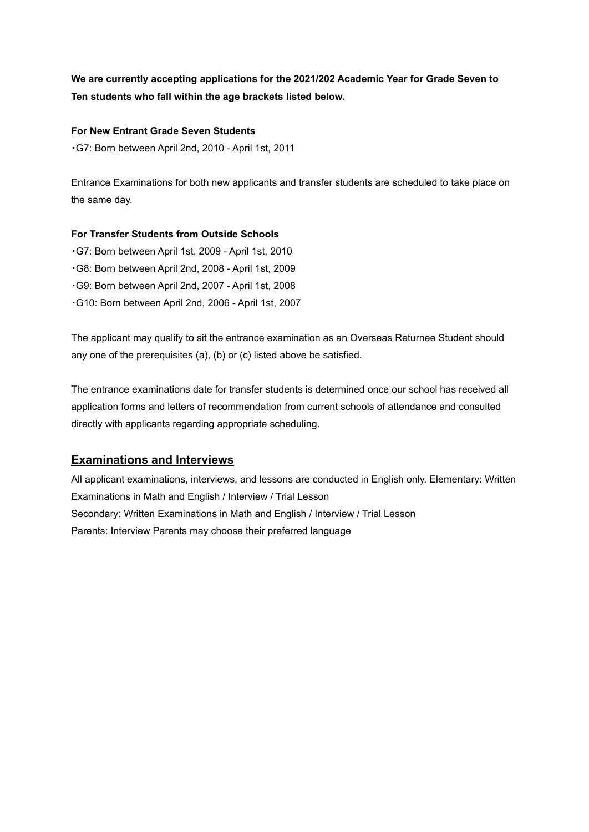# **We are currently accepting applications for the 2021/202 Academic Year for Grade Seven to Ten students who fall within the age brackets listed below.**

#### **For New Entrant Grade Seven Students**

・G7: Born between April 2nd, 2010 - April 1st, 2011

Entrance Examinations for both new applicants and transfer students are scheduled to take place on the same day.

#### **For Transfer Students from Outside Schools**

・G7: Born between April 1st, 2009 - April 1st, 2010 ・G8: Born between April 2nd, 2008 - April 1st, 2009 ・G9: Born between April 2nd, 2007 - April 1st, 2008 ・G10: Born between April 2nd, 2006 - April 1st, 2007

The applicant may qualify to sit the entrance examination as an Overseas Returnee Student should any one of the prerequisites (a), (b) or (c) listed above be satisfied.

The entrance examinations date for transfer students is determined once our school has received all application forms and letters of recommendation from current schools of attendance and consulted directly with applicants regarding appropriate scheduling.

# **Examinations and Interviews**

All applicant examinations, interviews, and lessons are conducted in English only. Elementary: Written Examinations in Math and English / Interview / Trial Lesson Secondary: Written Examinations in Math and English / Interview / Trial Lesson Parents: Interview Parents may choose their preferred language